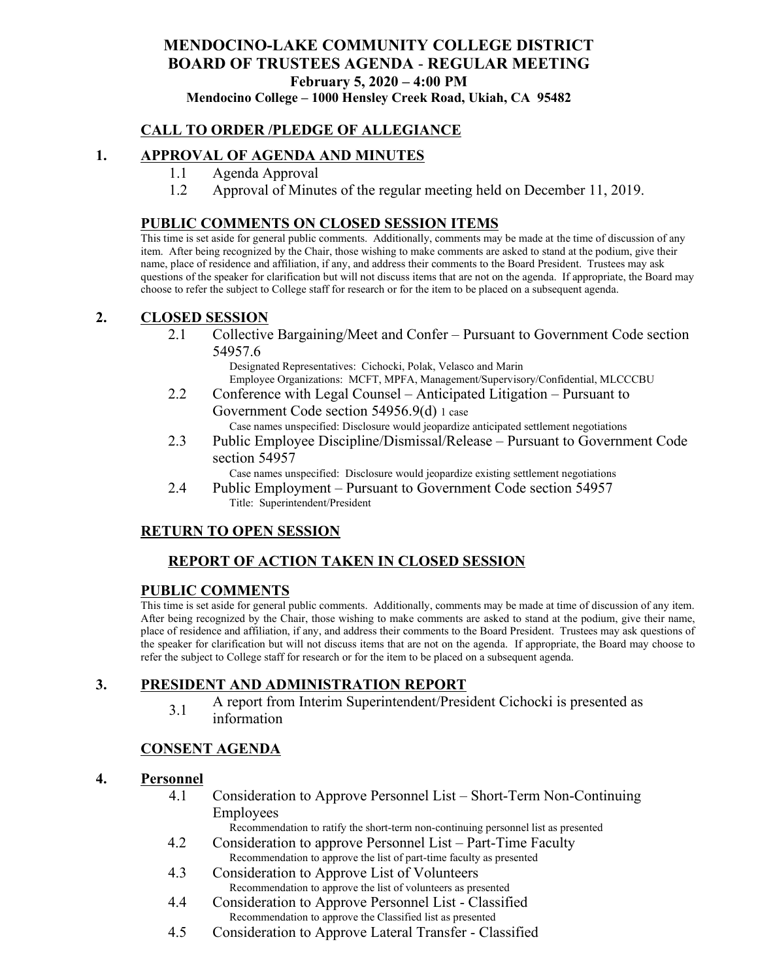# **MENDOCINO-LAKE COMMUNITY COLLEGE DISTRICT BOARD OF TRUSTEES AGENDA** - **REGULAR MEETING February 5, 2020 – 4:00 PM**

**Mendocino College – 1000 Hensley Creek Road, Ukiah, CA 95482**

## **CALL TO ORDER /PLEDGE OF ALLEGIANCE**

#### **1. APPROVAL OF AGENDA AND MINUTES**

- 1.1 Agenda Approval
- 1.2 Approval of Minutes of the regular meeting held on December 11, 2019.

#### **PUBLIC COMMENTS ON CLOSED SESSION ITEMS**

This time is set aside for general public comments. Additionally, comments may be made at the time of discussion of any item. After being recognized by the Chair, those wishing to make comments are asked to stand at the podium, give their name, place of residence and affiliation, if any, and address their comments to the Board President. Trustees may ask questions of the speaker for clarification but will not discuss items that are not on the agenda. If appropriate, the Board may choose to refer the subject to College staff for research or for the item to be placed on a subsequent agenda.

#### **2. CLOSED SESSION**

2.1 Collective Bargaining/Meet and Confer – Pursuant to Government Code section 54957.6

Designated Representatives: Cichocki, Polak, Velasco and Marin Employee Organizations: MCFT, MPFA, Management/Supervisory/Confidential, MLCCCBU

2.2 Conference with Legal Counsel – Anticipated Litigation – Pursuant to Government Code section 54956.9(d) 1 case

Case names unspecified: Disclosure would jeopardize anticipated settlement negotiations

2.3 Public Employee Discipline/Dismissal/Release – Pursuant to Government Code section 54957

Case names unspecified: Disclosure would jeopardize existing settlement negotiations

2.4 Public Employment – Pursuant to Government Code section 54957 Title: Superintendent/President

#### **RETURN TO OPEN SESSION**

## **REPORT OF ACTION TAKEN IN CLOSED SESSION**

#### **PUBLIC COMMENTS**

This time is set aside for general public comments. Additionally, comments may be made at time of discussion of any item. After being recognized by the Chair, those wishing to make comments are asked to stand at the podium, give their name, place of residence and affiliation, if any, and address their comments to the Board President. Trustees may ask questions of the speaker for clarification but will not discuss items that are not on the agenda. If appropriate, the Board may choose to refer the subject to College staff for research or for the item to be placed on a subsequent agenda.

#### **3. PRESIDENT AND ADMINISTRATION REPORT**

3.1 A report from Interim Superintendent/President Cichocki is presented as information

#### **CONSENT AGENDA**

#### **4. Personnel**

4.1 Consideration to Approve Personnel List – Short-Term Non-Continuing Employees

Recommendation to ratify the short-term non-continuing personnel list as presented

- 4.2 Consideration to approve Personnel List Part-Time Faculty Recommendation to approve the list of part-time faculty as presented
- 4.3 Consideration to Approve List of Volunteers Recommendation to approve the list of volunteers as presented
- 4.4 Consideration to Approve Personnel List Classified Recommendation to approve the Classified list as presented
- 4.5 Consideration to Approve Lateral Transfer Classified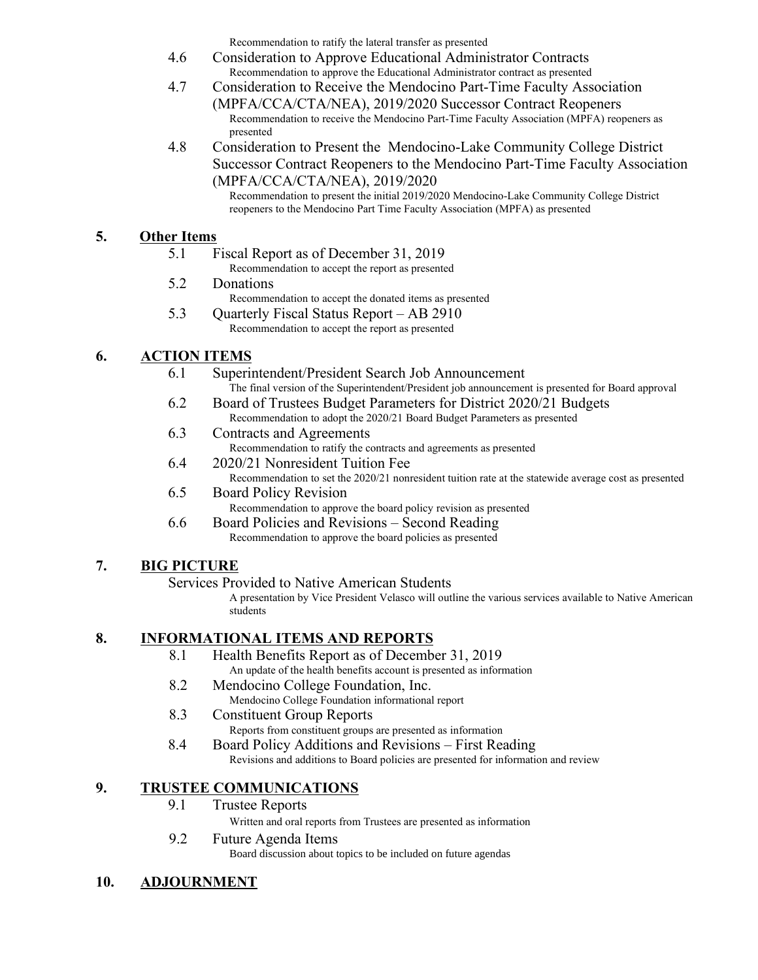Recommendation to ratify the lateral transfer as presented

- 4.6 Consideration to Approve Educational Administrator Contracts Recommendation to approve the Educational Administrator contract as presented
- 4.7 Consideration to Receive the Mendocino Part-Time Faculty Association (MPFA/CCA/CTA/NEA), 2019/2020 Successor Contract Reopeners Recommendation to receive the Mendocino Part-Time Faculty Association (MPFA) reopeners as presented
- 4.8 Consideration to Present the Mendocino-Lake Community College District Successor Contract Reopeners to the Mendocino Part-Time Faculty Association (MPFA/CCA/CTA/NEA), 2019/2020

Recommendation to present the initial 2019/2020 Mendocino-Lake Community College District reopeners to the Mendocino Part Time Faculty Association (MPFA) as presented

## **5. Other Items**

- 5.1 Fiscal Report as of December 31, 2019
	- Recommendation to accept the report as presented
- 5.2 Donations
	- Recommendation to accept the donated items as presented
- 5.3 Quarterly Fiscal Status Report AB 2910 Recommendation to accept the report as presented

## **6. ACTION ITEMS**

- 6.1 Superintendent/President Search Job Announcement The final version of the Superintendent/President job announcement is presented for Board approval
- 6.2 Board of Trustees Budget Parameters for District 2020/21 Budgets Recommendation to adopt the 2020/21 Board Budget Parameters as presented
- 6.3 Contracts and Agreements
	- Recommendation to ratify the contracts and agreements as presented
- 6.4 2020/21 Nonresident Tuition Fee
	- Recommendation to set the 2020/21 nonresident tuition rate at the statewide average cost as presented
- 6.5 Board Policy Revision
	- Recommendation to approve the board policy revision as presented
- 6.6 Board Policies and Revisions Second Reading Recommendation to approve the board policies as presented

## **7. BIG PICTURE**

Services Provided to Native American Students

A presentation by Vice President Velasco will outline the various services available to Native American students

## **8. INFORMATIONAL ITEMS AND REPORTS**

- 8.1 Health Benefits Report as of December 31, 2019 An update of the health benefits account is presented as information
- 8.2 Mendocino College Foundation, Inc. Mendocino College Foundation informational report
- 8.3 Constituent Group Reports
	- Reports from constituent groups are presented as information
- 8.4 Board Policy Additions and Revisions First Reading Revisions and additions to Board policies are presented for information and review

## **9. TRUSTEE COMMUNICATIONS**

9.1 Trustee Reports

Written and oral reports from Trustees are presented as information

9.2 Future Agenda Items

Board discussion about topics to be included on future agendas

## **10. ADJOURNMENT**